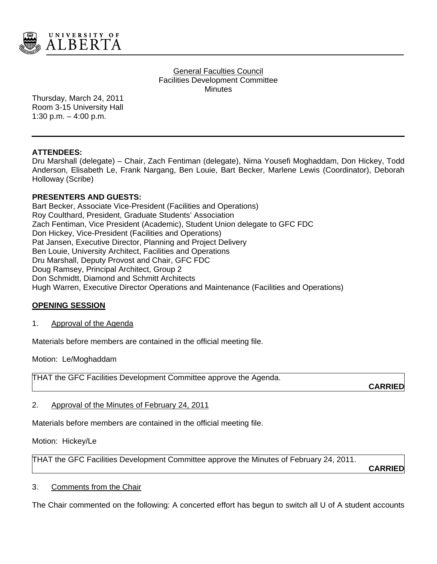

General Faculties Council Facilities Development Committee **Minutes** 

Thursday, March 24, 2011 Room 3-15 University Hall 1:30 p.m.  $-$  4:00 p.m.

# **ATTENDEES:**

Dru Marshall (delegate) – Chair, Zach Fentiman (delegate), Nima Yousefi Moghaddam, Don Hickey, Todd Anderson, Elisabeth Le, Frank Nargang, Ben Louie, Bart Becker, Marlene Lewis (Coordinator), Deborah Holloway (Scribe)

# **PRESENTERS AND GUESTS:**

Bart Becker, Associate Vice-President (Facilities and Operations) Roy Coulthard, President, Graduate Students' Association Zach Fentiman, Vice President (Academic), Student Union delegate to GFC FDC Don Hickey, Vice-President (Facilities and Operations) Pat Jansen, Executive Director, Planning and Project Delivery Ben Louie, University Architect, Facilities and Operations Dru Marshall, Deputy Provost and Chair, GFC FDC Doug Ramsey, Principal Architect, Group 2 Don Schmidtt, Diamond and Schmitt Architects Hugh Warren, Executive Director Operations and Maintenance (Facilities and Operations)

# **OPENING SESSION**

#### 1. Approval of the Agenda

Materials before members are contained in the official meeting file.

Motion: Le/Moghaddam

THAT the GFC Facilities Development Committee approve the Agenda.

**CARRIED**

#### 2. Approval of the Minutes of February 24, 2011

Materials before members are contained in the official meeting file.

Motion: Hickey/Le

THAT the GFC Facilities Development Committee approve the Minutes of February 24, 2011.

**CARRIED**

### 3. Comments from the Chair

The Chair commented on the following: A concerted effort has begun to switch all U of A student accounts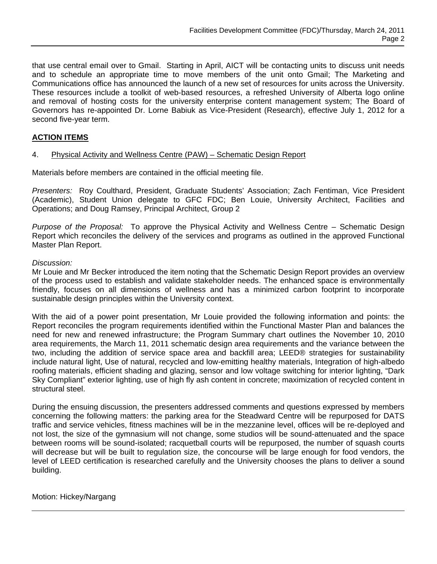that use central email over to Gmail. Starting in April, AICT will be contacting units to discuss unit needs and to schedule an appropriate time to move members of the unit onto Gmail; The Marketing and Communications office has announced the launch of a new set of resources for units across the University. These resources include a toolkit of web-based resources, a refreshed University of Alberta logo online and removal of hosting costs for the university enterprise content management system; The Board of Governors has re-appointed Dr. Lorne Babiuk as Vice-President (Research), effective July 1, 2012 for a second five-year term.

# **ACTION ITEMS**

#### 4. Physical Activity and Wellness Centre (PAW) – Schematic Design Report

Materials before members are contained in the official meeting file.

*Presenters:* Roy Coulthard, President, Graduate Students' Association; Zach Fentiman, Vice President (Academic), Student Union delegate to GFC FDC; Ben Louie, University Architect, Facilities and Operations; and Doug Ramsey, Principal Architect, Group 2

*Purpose of the Proposal:* To approve the Physical Activity and Wellness Centre – Schematic Design Report which reconciles the delivery of the services and programs as outlined in the approved Functional Master Plan Report.

#### *Discussion:*

Mr Louie and Mr Becker introduced the item noting that the Schematic Design Report provides an overview of the process used to establish and validate stakeholder needs. The enhanced space is environmentally friendly, focuses on all dimensions of wellness and has a minimized carbon footprint to incorporate sustainable design principles within the University context.

With the aid of a power point presentation, Mr Louie provided the following information and points: the Report reconciles the program requirements identified within the Functional Master Plan and balances the need for new and renewed infrastructure; the Program Summary chart outlines the November 10, 2010 area requirements, the March 11, 2011 schematic design area requirements and the variance between the two, including the addition of service space area and backfill area; LEED® strategies for sustainability include natural light, Use of natural, recycled and low-emitting healthy materials, Integration of high-albedo roofing materials, efficient shading and glazing, sensor and low voltage switching for interior lighting, "Dark Sky Compliant" exterior lighting, use of high fly ash content in concrete; maximization of recycled content in structural steel.

During the ensuing discussion, the presenters addressed comments and questions expressed by members concerning the following matters: the parking area for the Steadward Centre will be repurposed for DATS traffic and service vehicles, fitness machines will be in the mezzanine level, offices will be re-deployed and not lost, the size of the gymnasium will not change, some studios will be sound-attenuated and the space between rooms will be sound-isolated; racquetball courts will be repurposed, the number of squash courts will decrease but will be built to regulation size, the concourse will be large enough for food vendors, the level of LEED certification is researched carefully and the University chooses the plans to deliver a sound building.

### Motion: Hickey/Nargang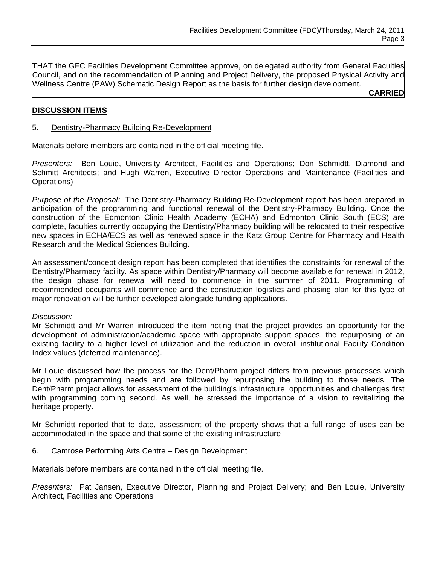THAT the GFC Facilities Development Committee approve, on delegated authority from General Faculties Council, and on the recommendation of Planning and Project Delivery, the proposed Physical Activity and Wellness Centre (PAW) Schematic Design Report as the basis for further design development.

**CARRIED**

# **DISCUSSION ITEMS**

### 5. Dentistry-Pharmacy Building Re-Development

Materials before members are contained in the official meeting file.

*Presenters:* Ben Louie, University Architect, Facilities and Operations; Don Schmidtt, Diamond and Schmitt Architects; and Hugh Warren, Executive Director Operations and Maintenance (Facilities and Operations)

*Purpose of the Proposal:* The Dentistry-Pharmacy Building Re-Development report has been prepared in anticipation of the programming and functional renewal of the Dentistry-Pharmacy Building. Once the construction of the Edmonton Clinic Health Academy (ECHA) and Edmonton Clinic South (ECS) are complete, faculties currently occupying the Dentistry/Pharmacy building will be relocated to their respective new spaces in ECHA/ECS as well as renewed space in the Katz Group Centre for Pharmacy and Health Research and the Medical Sciences Building.

An assessment/concept design report has been completed that identifies the constraints for renewal of the Dentistry/Pharmacy facility. As space within Dentistry/Pharmacy will become available for renewal in 2012, the design phase for renewal will need to commence in the summer of 2011. Programming of recommended occupants will commence and the construction logistics and phasing plan for this type of major renovation will be further developed alongside funding applications.

#### *Discussion:*

Mr Schmidtt and Mr Warren introduced the item noting that the project provides an opportunity for the development of administration/academic space with appropriate support spaces, the repurposing of an existing facility to a higher level of utilization and the reduction in overall institutional Facility Condition Index values (deferred maintenance).

Mr Louie discussed how the process for the Dent/Pharm project differs from previous processes which begin with programming needs and are followed by repurposing the building to those needs. The Dent/Pharm project allows for assessment of the building's infrastructure, opportunities and challenges first with programming coming second. As well, he stressed the importance of a vision to revitalizing the heritage property.

Mr Schmidtt reported that to date, assessment of the property shows that a full range of uses can be accommodated in the space and that some of the existing infrastructure

#### 6. Camrose Performing Arts Centre – Design Development

Materials before members are contained in the official meeting file.

*Presenters:* Pat Jansen, Executive Director, Planning and Project Delivery; and Ben Louie, University Architect, Facilities and Operations